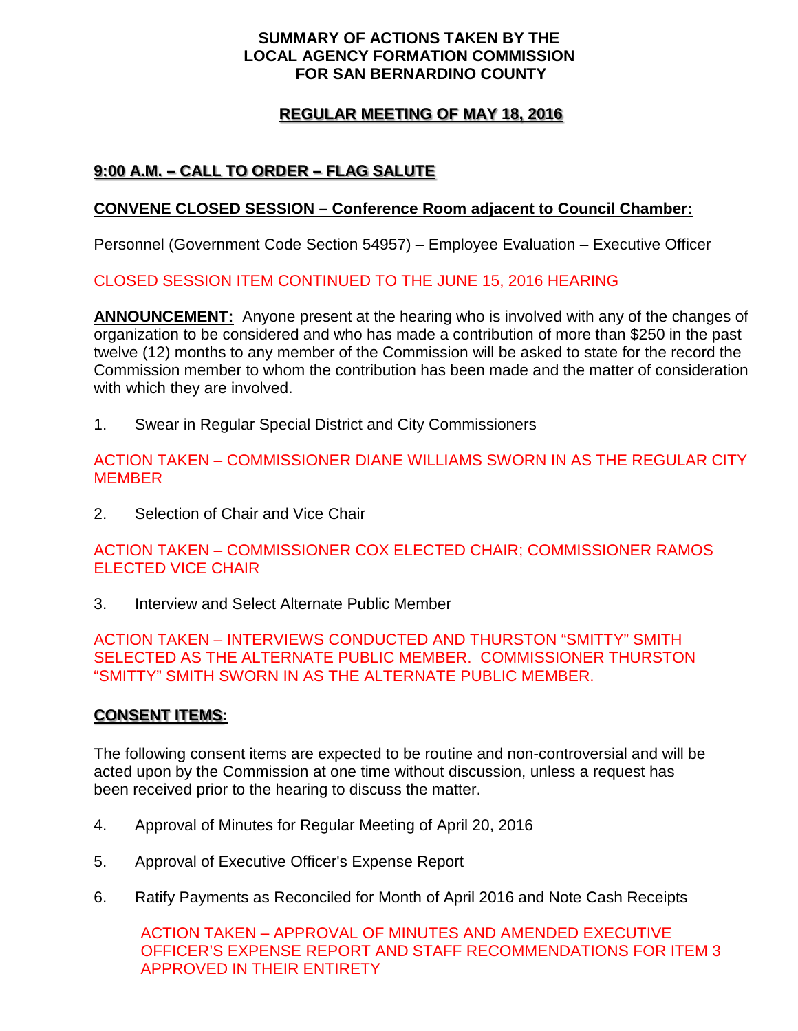#### **SUMMARY OF ACTIONS TAKEN BY THE LOCAL AGENCY FORMATION COMMISSION FOR SAN BERNARDINO COUNTY**

### **REGULAR MEETING OF MAY 18, 2016**

## **9:00 A.M. – CALL TO ORDER – FLAG SALUTE**

### **CONVENE CLOSED SESSION – Conference Room adjacent to Council Chamber:**

Personnel (Government Code Section 54957) – Employee Evaluation – Executive Officer

#### CLOSED SESSION ITEM CONTINUED TO THE JUNE 15, 2016 HEARING

**ANNOUNCEMENT:** Anyone present at the hearing who is involved with any of the changes of organization to be considered and who has made a contribution of more than \$250 in the past twelve (12) months to any member of the Commission will be asked to state for the record the Commission member to whom the contribution has been made and the matter of consideration with which they are involved.

1. Swear in Regular Special District and City Commissioners

ACTION TAKEN – COMMISSIONER DIANE WILLIAMS SWORN IN AS THE REGULAR CITY **MEMBER** 

2. Selection of Chair and Vice Chair

ACTION TAKEN – COMMISSIONER COX ELECTED CHAIR; COMMISSIONER RAMOS ELECTED VICE CHAIR

3. Interview and Select Alternate Public Member

ACTION TAKEN – INTERVIEWS CONDUCTED AND THURSTON "SMITTY" SMITH SELECTED AS THE ALTERNATE PUBLIC MEMBER. COMMISSIONER THURSTON "SMITTY" SMITH SWORN IN AS THE ALTERNATE PUBLIC MEMBER.

### **CONSENT ITEMS:**

The following consent items are expected to be routine and non-controversial and will be acted upon by the Commission at one time without discussion, unless a request has been received prior to the hearing to discuss the matter.

- 4. Approval of Minutes for Regular Meeting of April 20, 2016
- 5. Approval of Executive Officer's Expense Report
- 6. Ratify Payments as Reconciled for Month of April 2016 and Note Cash Receipts

ACTION TAKEN – APPROVAL OF MINUTES AND AMENDED EXECUTIVE OFFICER'S EXPENSE REPORT AND STAFF RECOMMENDATIONS FOR ITEM 3 APPROVED IN THEIR ENTIRETY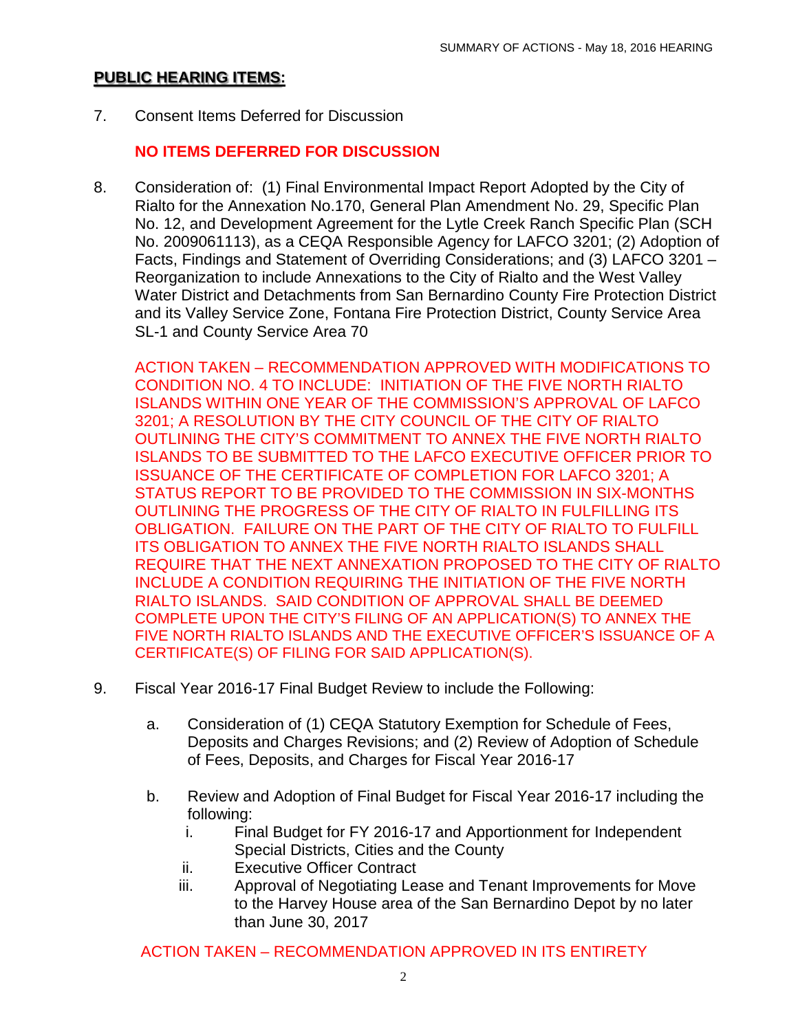### **PUBLIC HEARING ITEMS:**

7. Consent Items Deferred for Discussion

### **NO ITEMS DEFERRED FOR DISCUSSION**

8. Consideration of: (1) Final Environmental Impact Report Adopted by the City of Rialto for the Annexation No.170, General Plan Amendment No. 29, Specific Plan No. 12, and Development Agreement for the Lytle Creek Ranch Specific Plan (SCH No. 2009061113), as a CEQA Responsible Agency for LAFCO 3201; (2) Adoption of Facts, Findings and Statement of Overriding Considerations; and (3) LAFCO 3201 – Reorganization to include Annexations to the City of Rialto and the West Valley Water District and Detachments from San Bernardino County Fire Protection District and its Valley Service Zone, Fontana Fire Protection District, County Service Area SL-1 and County Service Area 70

ACTION TAKEN – RECOMMENDATION APPROVED WITH MODIFICATIONS TO CONDITION NO. 4 TO INCLUDE: INITIATION OF THE FIVE NORTH RIALTO ISLANDS WITHIN ONE YEAR OF THE COMMISSION'S APPROVAL OF LAFCO 3201; A RESOLUTION BY THE CITY COUNCIL OF THE CITY OF RIALTO OUTLINING THE CITY'S COMMITMENT TO ANNEX THE FIVE NORTH RIALTO ISLANDS TO BE SUBMITTED TO THE LAFCO EXECUTIVE OFFICER PRIOR TO ISSUANCE OF THE CERTIFICATE OF COMPLETION FOR LAFCO 3201; A STATUS REPORT TO BE PROVIDED TO THE COMMISSION IN SIX-MONTHS OUTLINING THE PROGRESS OF THE CITY OF RIALTO IN FULFILLING ITS OBLIGATION. FAILURE ON THE PART OF THE CITY OF RIALTO TO FULFILL ITS OBLIGATION TO ANNEX THE FIVE NORTH RIALTO ISLANDS SHALL REQUIRE THAT THE NEXT ANNEXATION PROPOSED TO THE CITY OF RIALTO INCLUDE A CONDITION REQUIRING THE INITIATION OF THE FIVE NORTH RIALTO ISLANDS. SAID CONDITION OF APPROVAL SHALL BE DEEMED COMPLETE UPON THE CITY'S FILING OF AN APPLICATION(S) TO ANNEX THE FIVE NORTH RIALTO ISLANDS AND THE EXECUTIVE OFFICER'S ISSUANCE OF A CERTIFICATE(S) OF FILING FOR SAID APPLICATION(S).

- 9. Fiscal Year 2016-17 Final Budget Review to include the Following:
	- a. Consideration of (1) CEQA Statutory Exemption for Schedule of Fees, Deposits and Charges Revisions; and (2) Review of Adoption of Schedule of Fees, Deposits, and Charges for Fiscal Year 2016-17
	- b. Review and Adoption of Final Budget for Fiscal Year 2016-17 including the following:
		- i. Final Budget for FY 2016-17 and Apportionment for Independent Special Districts, Cities and the County
		- ii. Executive Officer Contract
		- iii. Approval of Negotiating Lease and Tenant Improvements for Move to the Harvey House area of the San Bernardino Depot by no later than June 30, 2017

ACTION TAKEN – RECOMMENDATION APPROVED IN ITS ENTIRETY